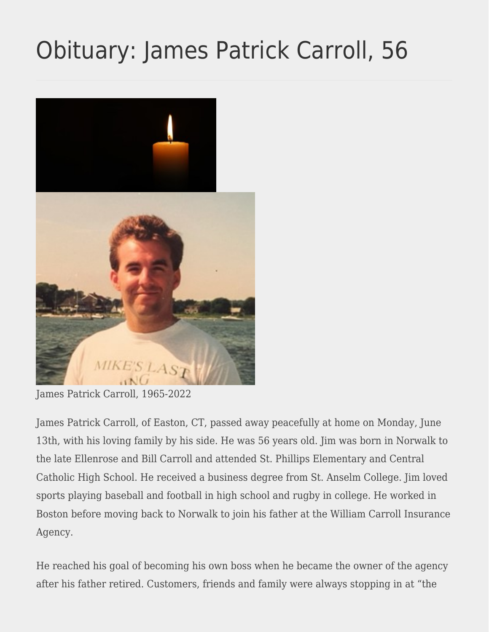## [Obituary: James Patrick Carroll, 56](https://eastoncourier.news/2022/06/17/obituary-james-patrick-carroll-56/)



James Patrick Carroll, 1965-2022

James Patrick Carroll, of Easton, CT, passed away peacefully at home on Monday, June 13th, with his loving family by his side. He was 56 years old. Jim was born in Norwalk to the late Ellenrose and Bill Carroll and attended St. Phillips Elementary and Central Catholic High School. He received a business degree from St. Anselm College. Jim loved sports playing baseball and football in high school and rugby in college. He worked in Boston before moving back to Norwalk to join his father at the William Carroll Insurance Agency.

He reached his goal of becoming his own boss when he became the owner of the agency after his father retired. Customers, friends and family were always stopping in at "the